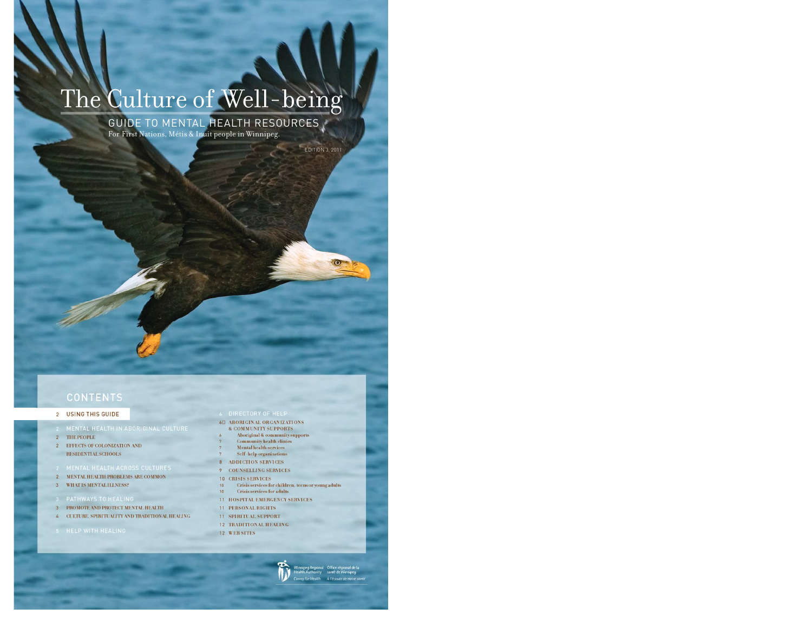# The Culture of Well-being

GUIDE TO MENTAL HEALTH RESOURCES<br>For First Nations, Métis & Inuit people in Winnipeg.

### **CONTENTS**

- 2 USING THIS GUIDE
- 2 MENTAL HEALTH IN ABORIGINAL CULTURE
- 2 THE PEOPLE
- 2 EFFECTS OF COLONIZATION AND RESIDENTIAL SCHOOLS
- 
- 2 MENTAL HEALTH PROBLEMS ARE COMMON
- 3 WHAT IS MENTAL ILLNESS?
- 
- 3 PROMOTE AND PROTECT MENTAL HEALTH
- 4 CULTURE, SPIRITUALITY AND TRADITIONAL HEALING
- 
- RECTORY OF HEL 60 ABORIGINAL ORGANIZATIONS
- **& COMMUNITY SUPPORTS** Aboriginal & community supports
- Community health elinies Mental health services
- Self-help organizations
- 8 ADDICTION SERVICES
- 9 COUNSELLING SERVICES 10 CRISIS SERVICES
- $10$ Crisis services for children, teens or young adults
- 10 Crisis services for adults 11 HOSPITAL EMERGENCY SERVICES
- 11 PERSONAL RIGHTS
- 11 SPIRITUAL SUPPORT
- 12 TRADITIONAL HEALING 12 WEB SITES

EDITION 3, 2011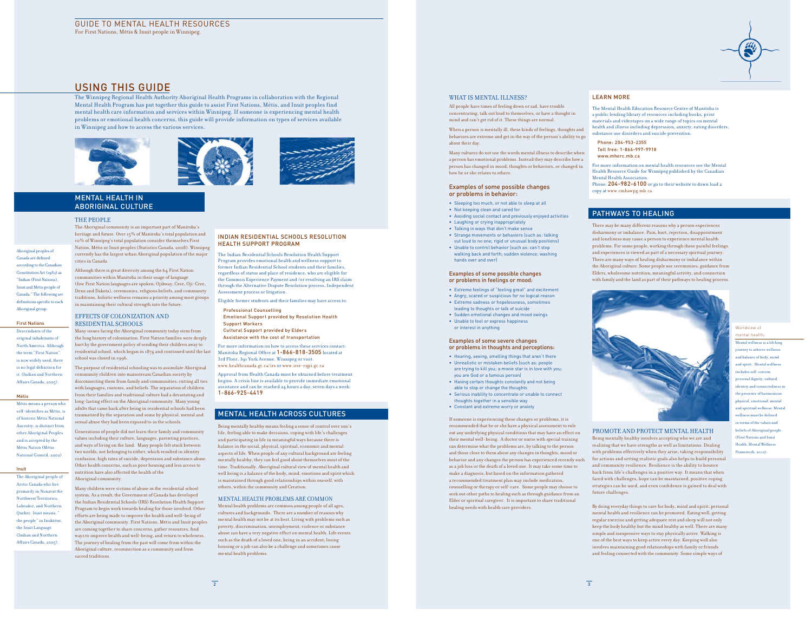For First Nations, Métis & Inuit people in Winnipeg.

Worldview of mental health:Mental wellness is a lifelong journey to achieve wellness and balance of body, mind and spirit. Mental wellness includes self-esteem, personal dignity, cultural identity and connectedness in the presence of harmonious physical, emotional, mental and spiritual wellness. Mental wellness must be defined n terms of the values and beliefs of Aboriginal people. (First Nations and Inuit Health, Mental Wellness Framework, 2002).

### USING THIS GUIDE

 The Winnipeg Regional Health Authority Aboriginal Health Programs in collaboration with the Regional Mental Health Program has put together this guide to assist First Nations, Métis, and Inuit peoples find mental health care information and services within Winnipeg. If someone is experiencing mental health problems or emotional health concerns, this guide will provide information on types of services available in Winnipeg and how to access the various services.







### MENTAL HEALTH IN ABORIGINAL CULTURE

#### THE PEOPLE

Aboriginal peoples of Canada are defined according to the Canadian Constitution Act (1982) as "Indian (First Nations), Inuit and Métis people of cities in Canada.

Canada." The following are definitions specific to each Aboriginal group:

### First Nations

 Descendants of the original inhabitants of North America. Although the term "First Nation" is now widely used, there is no legal definition for it. (Indian and Northern Affairs Canada, 2005).

### Métis

Métis means a person who self-identifies as Métis, is of historic Métis National Ancestry, is distinct from other Aboriginal Peoples and is accepted by the Métis Nation (Métis National Council, 2002)

### Inuit

 The Aboriginal people of Arctic Canada who live primarily in Nunavut the .<br>Northwest Territories, Labrador, and Northern Quebec. Inuit means, " the people" in Inuktitut, the Inuit Language. (Indian and Northern Affairs Canada, 2005).

 The Aboriginal community is an important part of Manitoba's heritage and future. Over 15% of Manitoba's total population and 10% of Winnipeg's total population consider themselves First Nation, Métis or Inuit peoples (Statistics Canada, 2008). Winnipeg currently has the largest urban Aboriginal population of the major

Although there is great diversity among the 64 First Nation communities within Manitoba in their usage of language (five First Nation languages are spoken: Ojibway, Cree, Oji-Cree, Dene and Dakota), ceremonies, religious beliefs, and community traditions, holistic wellness remains a priority among most groups in maintaining their cultural strength into the future.

### EFFECTS OF COLONIZATION AND RESIDENTIAL SCHOOLS

 Many issues facing the Aboriginal community today stem from the long history of colonization. First Nation families were deeply hurt by the government policy of sending their children away to residential school, which began in 1874 and continued until the last school was closed in 1996.

The purpose of residential schooling was to assimilate Aboriginal community children into mainstream Canadian society by disconnecting them from family and communities; cutting all ties with languages, customs, and beliefs. The separation of children from their families and traditional culture had a devastating and long-lasting effect on the Aboriginal community. Many young adults that came back after being in residential schools had been traumatized by the separation and some by physical, mental and sexual abuse they had been exposed to in the schools.

Generations of people did not learn their family and community values including their culture, languages, parenting practices, and ways of living on the land. Many people felt stuck between two worlds, not belonging to either, which resulted in identity confusion, high rates of suicide, depression and substance abuse. Other health concerns, such as poor housing and less access to nutrition have also affected the health of the Aboriginal community.

Many children were victims of abuse in the residential school system. As a result, the Government of Canada has developed the Indian Residential Schools (IRS) Resolution Health Support Program to begin work towards healing for those involved. Other efforts are being made to improve the health and well-being of the Aboriginal community. First Nations, Métis and Inuit peoples are coming together to share concerns, gather resources, find ways to improve health and well-being, and return to wholeness. The journey of healing from the past will come from within the Aboriginal culture, reconnection as a community and from sacred traditions

### INDIAN RESIDENTIAL SCHOOLS RESOLUTION HEALTH SUPPORT PROGRAM

 The Indian Residential Schools Resolution Health Support Program provides emotional health and wellness support to former Indian Residential School students and their families regardless of status and place of residence, who are eligible for the Common Experience Payment and /or resolving an IRS claim through the Alternative Dispute Resolution process, Independent Assessment process or litigation.

Eligible former students and their families may have access to:

 Professional Counselling Emotional Support provided by Resolution Health Support Workers

 Cultural Support provided by EldersAssistance with the cost of transportation

 For more information on how to access these services contact: Manitoba Regional Office at 1-866-818-3505 located at3rd Floor, 391 York Avenue, Winnipeg or visit: www.healthcanada.gc.ca/irs or www.irsr-rqpi.gc.ca

 Approval from Health Canada must be obtained before treatment begins. A crisis line is available to provide immediate emotional istance and can be reached 24 hours a day, seven days a week: 1-866-925-4419

### MENTAL HEALTH ACROSS CULTURES

Being mentally healthy means feeling a sense of control over one's life, feeling able to make decisions, coping with life's challenges and participating in life in meaningful ways because there is balance in the social, physical, spiritual, economic and mental aspects of life. When people of any cultural background are feeling mentally healthy, they can feel good about themselves most of the time. Traditionally, Aboriginal cultural view of mental health and well being is a balance of the body, mind, emotions and spirit which is maintained through good relationships within oneself, with others, within the community and Creation.

### MENTAL HEALTH PROBLEMS ARE COMMON

 Mental health problems are common among people of all ages, cultures and backgrounds. There are a number of reasons why mental health may not be at its best. Living with problems such as poverty, discrimination, unemployment, violence or substance abuse can have a very negative effect on mental health. Life events such as the death of a loved one, being in an accident, losing housing or a job can also be a challenge and sometimes cause mental health problems.

### WHAT IS MENTAL ILLNESS?

 All people have times of feeling down or sad, have trouble concentrating, talk out loud to themselves, or have a thought in mind and can't get rid of it. These things are normal.

When a person is mentally ill, these kinds of feelings, thoughts and behaviors are extreme and get in the way of the person's ability to go about their day.

Many cultures do not use the words mental illness to describe when a person has emotional problems. Instead they may describe how a person has changed in mood, thoughts or behaviors, or changed in how he or she relates to others.

### Examples of some possible changes or problems in behavior:

- Sleeping too much, or not able to sleep at all
- Not keeping clean and cared for
- Avoiding social contact and previously enjoyed activities
- Laughing or crying inappropriately
- Talking in ways that don't make sense• Strange movements or behaviors (such as: talking
- out loud to no one: rigid or unusual body position • Unable to control behavior (such as: can't stop walking back and forth; sudden violence; washing
- hands over and over)

### Examples of some possible changes or problems in feelings or mood:

- Extreme feelings of "feeling great" and excitement
- Angry, scared or suspicious for no logical reason
- Extreme sadness or hopelessness, sometimes leading to thoughts or talk of suicide
- Sudden emotional changes and mood swings
- Unable to feel or express happiness
- or interest in anything

### Examples of some severe changes or problems in thoughts and perceptions:

- Hearing, seeing, smelling things that aren't there• Unrealistic or mistaken beliefs (such as: people
- are trying to kill you; a movie star is in love with you; you are God or a famous person)• Having certain thoughts constantly and not being
- able to stop or change the thoughts
- Serious inability to concentrate or unable to connect thoughts together in a sensible way
- Constant and extreme worry or anxiety

If someone is experiencing these changes or problems, it is recommended that he or she have a physical assessment to rule out any underlying physical conditions that may have an effect on their mental well-being. A doctor or nurse with special training can determine what the problems are, by talking to the person and those close to them about any changes in thoughts, mood or behavior and any changes the person has experienced recently such as a job loss or the death of a loved one. It may take some time to make a diagnosis, but based on the information gathered a recommended treatment plan may include medication, counselling or therapy or self-care. Some people may choose to seek out other paths to healing such as through guidance from an Elder or spiritual caregiver. It is important to share traditional healing needs with health care providers.

### LEARN MORE

 The Mental Health Education Resource Centre of Manitoba is a public lending library of resources including books, print materials and videotapes on a wide range of topics on mental health and illness including depression, anxiety, eating disorders, substance use disorders and suicide prevention.

 Phone: 204-953-2355 Toll free: 1-866-997-9918 www.mherc.mb.ca

 For more information on mental health resources see the Mental Health Resource Guide for Winnipeg published by the Canadian Mental Health Association.

Phone: 204-982-6100 or go to their website to down load a copy at www.cmhawpg.mb.ca

### PATHWAYS TO HEALING

There may be many different reasons why a person experiences disharmony or imbalance. Pain, hurt, rejection, disappointment and loneliness may cause a person to experience mental health problems. For some people, working through these painful feelings and experiences is viewed as part of a necessary spiritual journey. There are many ways of healing disharmony or imbalance within the Aboriginal culture. Some people use ceremonies, guidance from Elders, wholesome nutrition, meaningful activity, and connection with family and the land as part of their pathways to healing process.



 Being mentally healthy involves accepting who we are and realizing that we have strengths as well as limitations. Dealing with problems effectively when they arise, taking responsibility for actions and setting realistic goals also helps to build personal and community resilience. Resilience is the ability to bounce back from life's challenges in a positive way. It means that when faced with challenges, hope can be maintained, positive coping strategies can be used, and even confidence is gained to deal with future challenges.

By doing everyday things to care for body, mind and spirit, personal mental health and resilience can be promoted. Eating well, getting regular exercise and getting adequate rest and sleep will not only keep the body healthy but the mind healthy as well. There are many simple and inexpensive ways to stay physically active. Walking is one of the best ways to keep active every day. Keeping well also involves maintaining good relationships with family or friends and feeling connected with the community. Some simple ways of

PROMOTE AND PROTECT MENTAL HEALTH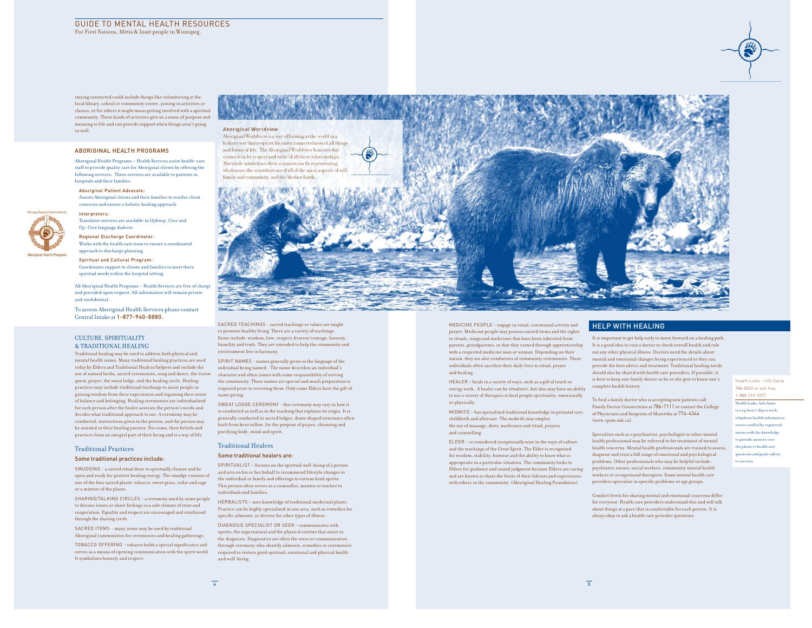Health Links – Info Sante788-8200 or toll-free 1-888-315-9257. Health Links-Info Sante is a 24 hour 7 days a week telephone health information service staffed by registered nurses with the knowledge o provide answers ove the phone to health care mestions and guide caller to services.

staying connected could include things like volunteering at the local library, school or community centre, joining in activities or classes, or for others it might mean getting involved with a spiritual community. These kinds of activities give us a sense of purpose and meaning to life and can provide support when things aren't going so well.

### ABORIGINAL HEALTH PROGRAMS

 Aboriginal Health Programs – Health Services assist health-care staff to provide quality care for Aboriginal clients by offering the following services. These services are available to patients in hospitals and their families.

#### Aboriginal Patient Advocate:

Interpreters:

 Assists Aboriginal clients and their families to resolve client concerns and ensure a holistic healing approach.



 Translator services are available in Ojibway, Cree and Oji-Cree language dialects.Regional Discharge Coordinator:

 Works with the health care team to ensure a coordinated approach to discharge planning.

 Spiritual and Cultural Program: Coordinates support to clients and families to meet there spiritual needs within the hospital setting.

and provided upon request. All information will remain private and confidential.

To access Aboriginal Health Services please contactCentral Intake at 1-877-940-8880.

# CULTURE, SPIRITUALITY

 Traditional healing may be used to address both physical and mental health issues. Many traditional healing practices are used today by Elders and Traditional Healers/helpers and include the use of natural herbs, sacred ceremonies, song and dance, the vision quest, prayer, the sweat lodge, and the healing circle. Healing practices may include traditional teachings to assist people in gaining wisdom from their experiences and regaining their sense of balance and belonging. Healing ceremonies are individualized for each person after the healer assesses the person's needs and decides what traditional approach to use. A ceremony may be conducted, instructions given to the person, and the person may be assisted in their healing journey. For some, their beliefs and practices form an integral part of their being and is a way of life.

#### Traditional Practices

### Some traditional practices include:

SMUDGING - a sacred ritual done to spiritually cleanse and be open and ready for positive healing energy. The smudge consists of one of the four sacred plants: tobacco, sweet grass, cedar and sage or a mixture of the plants.

SHARING/TALKING CIRCLES - a ceremony used by some people to discuss issues or share feelings in a safe climate of trust and cooperation. Equality and respect are encouraged and reinforced through the sharing circle.

SACRED ITEMS - many items may be used by traditional Aboriginal communities for ceremonies and healing gatherings.

TOBACCO OFFERING - tobacco holds a special significance and serves as a means of opening communication with the spirit world. It symbolizes honesty and respect.



Aboriginal Worldview is a way of looking at the world in a holistic way that respects the inter connectedness of all things and forms of life. The Aboriginal Worldview honours this connection by respect and value of all these relationships. The circle symbolizes these connections by representing wholeness; the contributions of all of the many aspects of self. family and community and the Mother Earth

SACRED TEACHINGS - sacred teachings or values are taught to promote healthy living. There are a variety of teachings. Some include: wisdom, love, respect, bravery/courage, honesty, humility and truth. They are intended to help the community and environment live in harmony.

SPIRIT NAMES - names generally given in the language of the individual being named. The name describes an individual's character and often comes with some responsibility of serving the community. These names are special and much preparation is required prior to receiving them. Only some Elders have the gift of name giving.

SWEAT LODGE CEREMONY - this ceremony may vary in how it is conducted as well as in the teaching that explains its origin. It is generally conducted in sacred lodges, dome shaped structures often built from bent willow, for the purpose of prayer, cleansing and purifying body, mind and spirit.

### Traditional HealersSome traditional healers are:

SPIRITUALIST – focuses on the spiritual well-being of a person and acts on his or her behalf to recommend lifestyle changes to the individual or family and offerings to various kind spirits. This person often serves as a counsellor, mentor or teacher to individuals and families.

HERBALISTS – uses knowledge of traditional medicinal plants. Practice can be highly specialized in one area, such as remedies for specific ailments, or diverse for other types of illness.

DIAGNOSIS SPECIALIST OR SEER – communicates with spirits, the supernatural and the physical entities that assist in the diagnosis. Diagnostics are often the seers or communicators through ceremony who identify ailments, remedies or ceremonies required to restore good spiritual, emotional and physical health and well-being.



MEDICINE PEOPLE – engage in ritual, ceremonial activity and prayer. Medicine people may possess sacred items and the rights to rituals, songs and medicines that have been inherited from parents, grandparents, or that they earned through apprenticeship with a respected medicine man or woman. Depending on their nation, they are also conductors of community ceremonies. These individuals often sacrifice their daily lives to ritual, prayer and healing.

 $\verb|HEALER-heals|$  in a variety of ways, such as a gift of touch or energy work. A healer can be ritualistic, but also may have an ability to use a variety of therapies to heal people spirituality, emotionally or physically.

MIDWIFE – has specialized traditional knowledge in prenatal care, childbirth and aftercare. The midwife may employ the use of massage, diets, medicines and ritual, prayers and counselling.

ELDER – is considered exceptionally wise in the ways of culture and the teachings of the Great Spirit. The Elder is recognized for wisdom, stability, humour and the ability to know what is appropriate in a particular situation. The community looks to Elders for guidance and sound judgment because Elders are caring and are known to share the fruits of their labours and experiences with others in the community. (Aboriginal Healing Foundation)

### HELP WITH HEALING

 It is important to get help early to move forward on a healing path. It is a good idea to visit a doctor to check overall health and rule out any other physical illness. Doctors need the details about mental and emotional changes being experienced so they can provide the best advice and treatment. Traditional healing needs should also be shared with health care providers. If possible, it is best to keep one family doctor so he or she gets to know one's complete health history.

To find a family doctor who is accepting new patients call Family Doctor Connections at 786-7111 or contact the College of Physicians and Surgeons of Manitoba at 774-4344(www.cpsm.mb.ca).

Specialists such as a psychiatrist, psychologist or other mental health professional may be referred to for treatment of mental health concerns. Mental health professionals are trained to assess, diagnose and treat a full range of emotional and psychological problems. Other professionals who may be helpful include: psychiatric nurses, social workers, community mental health workers or occupational therapists. Some mental health care providers specialize in specific problems or age groups.

Comfort levels for sharing mental and emotional concerns differ for everyone. Health care providers understand this and will talk about things at a pace that is comfortable for each person. It is always okay to ask a health care provider questions.



All Aboriginal Health Programs – Health Services are free of charge

# & TRADITIONAL HEALING

 $\overline{4}$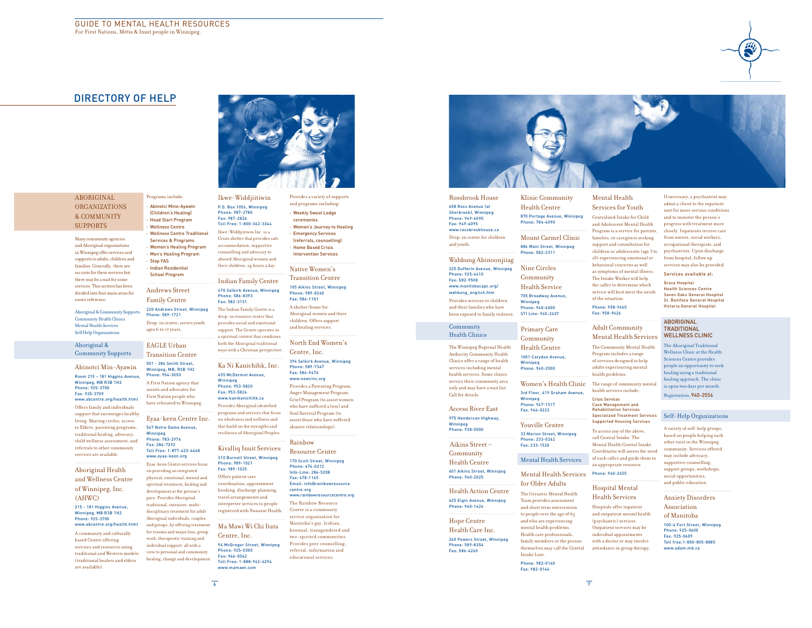

### DIRECTORY OF HELP

**ABORIGINAL** ORGANIZATIONS & COMMUNITY **SUPPORTS** 

Many community agencies and Aboriginal organizations in Winnipeg offer services and supports to adults, children and families. Generally, there are no costs for these services but there may be a wait for some services. This section has been divided into four main areas for easier reference:

Aboriginal & Community SupportsCommunity Health ClinicsMental Health ServicesSelf Help Organizations

Aboriginal & Community Supports

Abinotci Min-Ayawin Room 215 – 181 Higgins Avenue, Winnipeg, MB R3B 1H2Phone: 925-3700Fax: 925-3709

 www.abcentre.org/health.htmlOffers family and individuals support that encourages healthy living. Sharing circles, access to Elders, parenting programs, traditional healing, advocacy, child wellness assessment, and referrals to other community

services are available. Aboriginal Health

### and Wellness Centre

of Winnipeg, Inc. (AHWC)

 215 - 181 Higgins Avenue, Winnipeg, MB R3B 1H2 Phone: 925-3700

 www.abcentre.org/health.htmlA community and culturally based Centre offering services and resources using traditional and Western models (traditional healers and elders are available).

Programs include:• Abinotci Mino-Ayawin (Children's Healing) • Head Start Program• Wellness Centre• Wellness Centre Traditional

 Services & Programs • Women's Healing Program• Men's Healing Program• Stop FAS • Indian Residential School ProgramCrisis shelter that provides safe accommodation, supportive counselling and advocacy to abused Aboriginal women and their children, 24 hours a day.

Andrews Street Family Centre

220 Andrews Street, WinnipegPhone: 589-1721 Drop-in centre; serves youth ages 6 to 17 years.

EAGLE Urban

Winnipeg

Transition Centrea spiritual context that combines both the Aboriginal traditional ways with a Christian perspective.

Ikwe-WiddjiitiwinP.O. Box 1056, WinnipegPhone: 987-2780 Fax: 987-2826 Toll Free: 1-800-362-3344Ikwe-Widdjiitiwin Inc. is a

Indian Family Centre 470 Selkirk Avenue, WinnipegPhone: 586-8393Fax: 582-3131 The Indian Family Centre is a drop-in resource center that provides social and emotional support. The Centre operates in

 www.kanikanichihk.caProvides Aboriginal identified

 501 - 286 Smith Street, Winnipeg, MB, R3B 1H2Phone: 954-3050 A First Nation agency that assists and advocates for Ka Ni Kanichihk, Inc. 455 McDermot Avenue, Winnipeg Phone: 953-5820Fax: 953-5824

First Nation people who have relocated to Winnipeg.programs and services that focus

Eyaa-keen Centre Inc.547 Notre Dame Avenue, Phone: 783-2976on wholeness and wellness and that build on the strengths and resilience of Aboriginal Peoples.

 Fax: 284-7292 Toll Free: 1-877-423-4648www.eyaa-keen.org Eyaa-keen Centre services focus on providing an integrated physical, emotional, mental and spiritual treatment, healing and development at the person's pace. Provides Aboriginal traditional, intensive, multidisciplinary treatment for adult Kivalliq Inuit Services 310 Burnell Street, WinnipegPhone: 989-1021Fax: 989-1025 Offers patient care coordination, appointment booking, discharge planning, travel arrangements and interpreter services to people registered with Nunavut Health.

Aboriginal individuals, couples and groups, by offering treatment for trauma and major loss, group work, therapeutic training and individual support, all with a view to personal and community healing, change and development.Ma Mawi Wi Chi Itata Centre, Inc. 94 McGregor Street, WinnipegPhone: 925-0300Fax: 946-5042Toll Free: 1-888-962-6294



Provides a variety of supports and programs including:• Weekly Sweat Lodge ceremonies • Women's Journey to Healing**Emergency Services**  (referrals, counselling)• Home Based Crisis Intervention Services

### Native Women's Transition Centre 105 Aikins Street, Winnipeg Phone: 989-8240Fax: 586-1101 A shelter/home for Aboriginal women and their

children. Offers support and healing services.

North End Women's Centre, Inc.

#### 394 Selkirk Avenue, WinnipegPhone: 589-7347Fax: 586-9476www.newcinc.org

 Provides a Parenting Program, Anger Management Program, Grief Program (to assist women who have suffered a loss) and Soul Survival Program (to assist those who have suffered abusive relationships).

### Rainbow

Resource Centre 170 Scott Street, Winnipeg Phone: 474-0212 Info-Line: 284-5208Fax: 478-1160 Email: info@rainbowresourcecentre.org www.rainbowresourcecentre.orgThe Rainbow Resource Centre is a community service organization for Manitoba's gay, lesbian, bisexual, transgendered and two-spirited communities. Provides peer counselling, referral, information and educational services.



Rossbrook House658 Ross Avenue (at Sherbrook), Winnipeg Phone: 949-4090Fax: 949-4095 www.rossbrookhouse.ca Drop-in centre for children and youth. Wahbung Abinoonjiiag 225 Dufferin Avenue, WinnipegPhone: 925-4610Fax: 582-9508 www.manitobacapc.org/wahbung\_english.htm Provides services to children and their families who have been exposed to family violence.

### Community Health Clinics

The Winnipeg Regional Health Authority Community Health Clinics offer a range of health services including mental health services. Some clinics service their community area only and may have a wait list. Call for details.

Access River East 975 Henderson Highway, Winnipeg

 Phone: 938-5000Aikins Street – Community

Health Centre601 Aikins Street, Winnipeg

Phone: 940-2025 Health Action Centre

 425 Elgin Avenue, Winnipeg Phone: 940-1626 Hope Centre

Health Care Inc. 240 Powers Street, Winnipeg Phone: 589-8354Fax: 586-4260

Intake Line.Phone: 982-0140Fax: 982-0144

Winnipeg

Fax: 944-0223

Mental Health Services for Youth

Klinic Community Health Centre

Mount Carmel Clinic 886 Main Street, Winnipeg Phone: 582-2311Nine Circles Community Health Service 705 Broadway Avenue, Winnipeg Phone: 940-6000 STI Line: 945-2437Primary Care Community Health Centre 1001 Corydon Avenue, Winnipeg Phone: 940-2000

Phone: 784-4090

 870 Portage Avenue, Winnipeg Centralized Intake for Child and Adolescent Mental Health

> Program is a service for parents, families, or caregivers seeking support and consultation for children or adolescents (age 3 to 18) experiencing emotional or

behavioral concerns as well as symptoms of mental illness. The Intake Worker will help the caller to determine which service will best meet the needs

### of the situation.Phone: 958-9660Fax: 958-9626

Adult Community Mental Health ServicesThe Community Mental Health Program includes a range of services designed to help adults experiencing mental health problems.

> To access any of the above, call Central Intake. The

Women's Health Clinic 3rd Floor, 419 Graham Avenue, The range of community mental health services include:Crisis Services

 Phone: 947-1517 Case Management and Rehabilitation Services Specialized Treatment Services Self-Help OrganizationsSupported Housing Services

Youville Centre 33 Marion Street, Winnipeg Phone: 233-0262Fax: 233-1520

Mental Health Servicesof each caller and guide them to an appropriate resource.

Mental Health Services for Older AdultsPhone: 940-2655 Hospital Mental

 The Geriatric Mental Health Team provides assessment and short term intervention to people over the age of 65 and who are experiencing mental health problems. Health care professionals, family members or the person themselves may call the Central Health Services Hospitals offer inpatient and outpatient mental health (psychiatric) services. Outpatient services may be individual appointments with a doctor or may involve attendance in group therapy.

 Mental Health Central Intake Coordinator will assess the need A variety of self-help groups, based on people helping each other exist in the Winnipeg community. Services offered may include advocacy, supportive counselling, support groups, workshops, social opportunities, and public education.

admit a client to the inpatient unit for more serious conditions and to monitor the person's progress with treatment more closely. Inpatients receive care from nurses, social workers, occupational therapists, and psychiatrists. Upon discharge from hospital, follow up services may also be provided. Services available at:Grace Hospital Health Sciences Centre Seven Oaks General Hospital St. Boniface General HospitalVictoria General HospitalABORIGINAL **TRADITIONAL**  WELLNESS CLINIC The Aboriginal Traditional Wellness Clinic at the Health Sciences Centre provides people an opportunity to seek healing using a traditional healing approach. The clinic is open two days per month. Registration: 940-2556.

Anxiety Disorders Association of Manitoba 100-4 Fort Street, WinnipegPhone: 925-0600 Fax: 925-0609 Toll free:1-800-805-8885www.adam.mb.ca

www.mamawi.com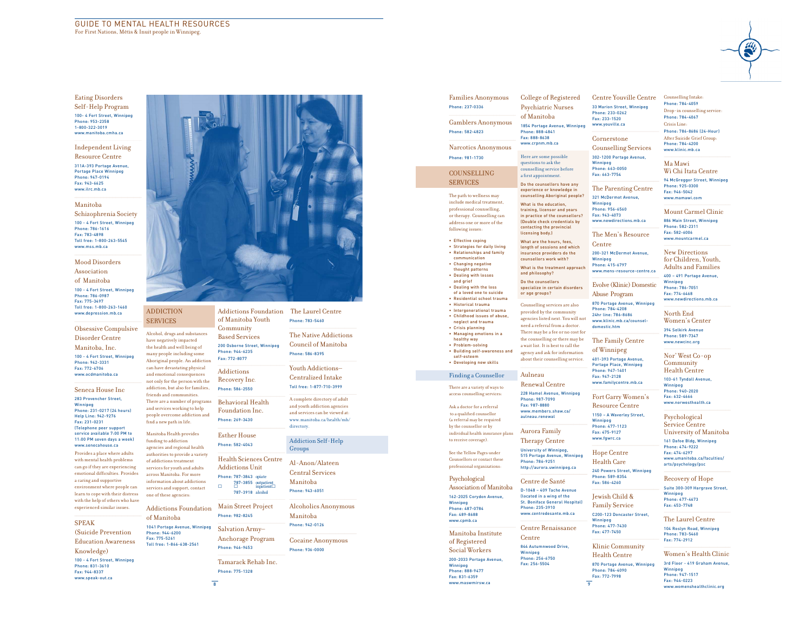Eating Disorders Self-Help Program 100- 4 Fort Street, Winnipeg Phone: 953-2358 1-800-322-3019www.manitoba.cmha.ca

Independent Living

Resource Centre 311A-393 Portage Avenue, Portage Place WinnipegPhone: 947-0194 Fax: 943-6625www.ilrc.mb.ca

### Manitoba

Schizophrenia Society 100 - 4 Fort Street, WinnipegPhone: 786-1616 Fax: 783-4898 Toll free: 1-800-263-5545www.mss.mb.ca

Mood Disorders Association of Manitoba

 100 - 4 Fort Street, WinnipegPhone: 786-0987 Fax: 775-3497 Toll free: 1-800-263-1460www.depression.mb.ca

### Obsessive Compulsive

Disorder Centre Manitoba, Inc. 100 - 4 Fort Street, Winnipeg Phone: 942-3331 Fax: 772-6706www.ocdmanitoba.ca

### Seneca House Inc283 Provencher Street,

Winnipeg Phone: 231-0217 (24 hours)Help Line: 942-9276 Fax: 231-0231 (Telephone peer support service available 7:00 PM to 11:00 PM seven days a week)www.senecahouse.ca

 Provides a place where adults with mental health problems can go if they are experiencing emotional difficulties. Provides a caring and supportive environment where people can learn to cope with their distress with the help of others who have experienced similar issues.

### SPEAK

 (Suicide Prevention Education Awareness

Knowledge) 100 - 4 Fort Street, WinnipegPhone: 831-3610Fax: 944-8337www.speak-out.ca



of Manitoba Youth **Community** 

Addictions Recovery Inc.

Phone: 269-3430

200 Osborne Street, Winnipeg

**SERVICES** 

Alcohol, drugs and substances have negatively impacted the health and well being of many people including some Aboriginal people. An addiction can have devastating physical and emotional consequences not only for the person with the addiction, but also for families, friends and communities. There are a number of programs and services working to help people overcome addiction and Based ServicesPhone: 944-6235Fax: 772-8077Phone: 586-2550 Behavioral Health Foundation Inc.

find a new path in life.Manitoba Health provides funding to addiction agencies and regional health authorities to provide a variety of addictions treatment services for youth and adults across Manitoba. For more information about addictions services and support, contact Esther House Phone: 582-4043 Health Sciences Centre Addictions UnitPhone: 787-3843 opiate

one of these agencies: Addictions Foundation of Manitoba 1041 Portage Avenue, WinnipegPhone: 944-6200Main Street ProjectPhone: 982-8245 Salvation Army–

#### Fax: 775-5261 Toll free: 1-866-638-2561Anchorage ProgramPhone: 946-9453

Tamarack Rehab Inc. Phone: 775-1328

 787-3855 outpatient inpatient 787-3918 alcohol

 $\overline{8}$ 

Phone: 783-5460

The Native Addictions Council of Manitoba Phone: 586-8395

Youth Addictions– Centralized Intake Toll free: 1-877-710-3999

A complete directory of adult and youth addiction agencies and services can be viewed at: www.manitoba.ca/health/mh/directory.

### Addiction Self-Help Groups

Al-Anon/Alateen Central Services ManitobaPhone: 943-6051

Alcoholics AnonymousManitobaPhone: 942-0126

Cocaine Anonymous

Phone: 936-0000

8 www.inaswinnswi.ca experience of the second state of the second state of the second state of the second state of the second state of the second state of the second state of the second state of the second state of the sec

## Families AnonymousPhone: 237-0336Gamblers AnonymousPhone: 582-4823

Narcotics AnonymousPhone: 981-1730

### COUNSELLING **SERVICES**

The path to wellness may include medical treatment, professional counselling, or therapy. Counselling can address one or more of the following issues: • Effective coping

#### • Strategies for daily living • Relationships and family communication • Changing negative thought patterns

• Dealing with losses

 and grief • Dealing with the loss of a loved one to suicide • Residential school trauma• Historical trauma • Intergenerational trauma • Childhood issues of abuse, neglect and trauma

• Crisis planning • Managing emotions in a healthy way • Problem-solving • Building self-awareness and self-esteem

 • Developing new skillsFinding a Counsellor

### There are a variety of ways to access counselling services:Ask a doctor for a referral

 to a qualified counsellor (a referral may be required by the counsellor or by individual health insurance plans to receive coverage). See the Yellow Pages under

Counsellors or contact these professional organizations:

#### Psychological Association of Manitoba 162-2025 Corydon Avenue,Winnipeg Phone: 487-0784Fax: 489-8688www.cpmb.ca

Manitoba Instituteof Registered Social Workers 200-2033 Portage Avenue,Winnipeg Phone: 888-9477Fax: 831-6359

www.maswmirsw.ca

of Manitoba 1854 Portage Avenue, WinnipegPhone: 888-4841Fax: 888-8638 www.crpnm.mb.caHere are some possible questions to ask the unselling service before a first appointment.Do the counsellors have any experience or knowledge in counselling Aboriginal people?What is the education training, licensor and years in practice of the counsellors? (Double check credentials by

College of Registered Psychiatric Nurses

contacting the provincial licensing body.)What are the hours, fees, length of sessions and which insurance providers do the counsellors work with?What is the treatment approach and philosophy?

Do the counsellors specialize in certain disorders

### or age groups?Counselling services are also provided by the community agencies listed next. You will not

need a referral from a doctor. There may be a fee or no cost for the counselling or there may be a wait list. It is best to call the agency and ask for information

### about their counselling service.Aulneau

Renewal Centre 228 Hamel Avenue, Winnipeg Phone: 987-7090 Fax: 987-8880 www.members.shaw.ca/aulneau.renewalAurora Family Winnipeg Phone: 477-1123Fax: 475-9127

Therapy Centre University of Winnipeg, 515 Portage Avenue, WinnipegPhone: 786-9251http://aurora.uwinnipeg.ca

Centre de Sante´ D-1048 – 409 Tache Avenue (located in a wing of the St. Boniface General Hospital)Phone: 235-3910

 www.centredesante.mb.ca Centre Renaissance

### Centre844 Autumnwood Drive,

Winnipeg Phone: 256-6750Fax: 256-5504

Winnipeg Phone: 663-0050Fax: 663-7754The Parenting Centre321 McDermot Avenue, Winnipeg Phone: 956-6560Fax: 943-4073 www.newdirections.mb.caThe Men's Resource Centre 200-321 McDermot Avenue, Winnipeg Phone: 415-6797 www.mens-resource-centre.caEvolve (Klinic) Domestic

Centre Youville Centre33 Marion Street, WinnipegPhone: 233-0262Fax: 233-1520 www.youville.caCornerstone Counselling Services 302-1200 Portage Avenue,

Abuse Program 870 Portage Avenue, Winnipeg Phone: 784-4208 24hr line: 786-8686 www.klinic.mb.ca/counseldomestic.htm

The Family Centre of Winnipeg 401-393 Portage Avenue, Portage Place, WinnipegPhone: 947-1401

Fax: 947-2128

www.fgwrc.ca

 www.familycentre.mb.caFort Garry Women's

# Resource Centre1150 – A Waverley Street,

Hope Centre Health Carearts/psychology/psc

 240 Powers Street, WinnipegPhone: 589-8354Fax: 586-4260Jewish Child &

#### Family Service C200-123 Doncaster Street, Phone: 477-4673 Fax: 453-7748

Winnipeg Phone: 477-7430Fax: 477-7450 The Laurel Centre 104 Roslyn Road, Winnipeg Phone: 783-5460Fax: 774-2912

Klinic Community Health Centre 870 Portage Avenue, WinnipegPhone: 784-4090Fax: 772-7998

 3rd Floor - 419 Graham Avenue, Winnipeg Phone: 947-1517Fax: 944-0223www.womenshealthclinic.org

Women's Health Clinic

### Phone: 784-4200 www.klinic.mb.caMa Mawi Wi Chi Itata Centre 94 McGreggor Street, WinnipegPhone: 925-0300Fax: 946-5042 www.mamawi.comMount Carmel Clinic886 Main Street, WinnipegPhone: 582-2311Fax: 582-6006 www.mountcarmel.caNew Directions for Children, Youth,

Counselling Intake:Phone: 784-4059 Drop-in counselling service: Phone: 784-4067Crisis Line: Phone: 786-8686 (24-Hour)After Suicide Grief Group:

Adults and Families400 – 491 Portage Avenue, Winnipeg Phone: 786-7051

Fax: 774-6468www.newdirections.mb.ca

North End Women's Center394 Selkirk Avenue

Phone: 589-7347www.newcinc.org

Nor' West Co-op Community Health Centre

 103-61 Tyndall Avenue, Winnipeg Phone: 940-2020Fax: 632-4666 www.norwesthealth.ca

Psychological Service Centre University of Manitoba

161 Dafoe Bldg, WinnipegPhone: 474-9222Fax: 474-6297www.umanitoba.ca/faculties/

Recovery of Hope Suite 300-309 Hargrave Street, Winnipeg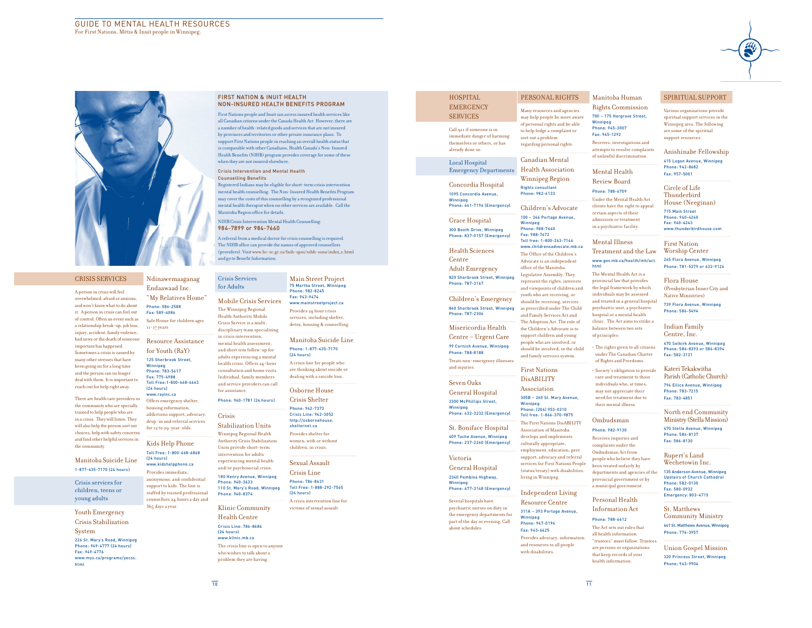

### CRISIS SERVICES

A person in crisis will feel overwhelmed, afraid or anxious, and won't know what to do about it. A person in crisis can feel out of control. Often an event such as a relationship break-up, job loss, injury, accident, family violence, bad news or the death of someone important has happened. Sometimes a crisis is caused by many other stresses that have been going on for a long time and the person can no longer deal with them. It is important to reach out for help right away.

There are health care providers in the community who are specially trained to help people who are in a crisis. They will listen. They will also help the person sort out choices, help with safety concerns and find other helpful services in the community.

Manitoba Suicide Line 1-877-435-7170 (24 hours)

Crisis services for children, teens or young adults

Youth Emergency

Crisis Stabilization System 226 St. Mary's Road, WinnipegPhone: 949-4777 (24 hours)Fax: 949-4776www.mys.ca/programs/yecss.

html

### Ndinawemaaganag Endaawaad Inc. "My Relatives Home"Phone: 586-2588

Fax: 589-4086 Safe House for children ages 11-17 years

for Youth (RaY) 125 Sherbrook Street, Winnipeg Phone: 783-5617Fax: 775-4988 health crisis. Offers 24-hour

> and service providers can call for assistance.Phone: 940-1781 (24 hours)

housing information, addictions support, advocacy, drop-in and referral services Crisis

for 12 to 29-year-olds. Kids Help PhoneToll Free: 1-800-668-6868

(24 hours)

(24 hours) www.kidshelpphone.caProvides immediate,

365 days a year.

 anonymous, and confidential support to kids. The line is staffed by trained professional counsellors 24 hours a day and 180 Henry Avenue, Winnipeg Phone: 940-3633 110 St. Mary's Road, Winnipeg Phone: 940-8374

> Klinic Community Health Centre Crisis Line: 786-8686 (24 hours)www.klinic.mb.ca

 The crisis line is open to anyone who wishes to talk about a problem they are having.

Main Street Project 75 Martha Street, WinnipegPhone: 982-8245Fax: 943-9474 www.mainstreetproject.caProvides 24 hour crisis services, including shelter,

> detox, housing & counselling. Manitoba Suicide LinePhone: 1-877-435-7170 (24 hours)

 A crisis line for people who are thinking about suicide or dealing with a suicide loss.

Osborne House Crisis Shelter Phone: 942-7373 Crisis Line: 942-3052 http://osbornehouse. shelternet.ca

 Provides shelter for women, with or without children, in crisis.

Sexual Assault Crisis Line Phone: 786-8631 Toll Free: 1-888-292-7565 (24 hours)

A crisis intervention line for victims of sexual assault.

Concordia Hospital Grace Hospital Health Sciences Centre Adult Emergency Phone: 787-3167Phone: 787-2306Misericordia Health Centre – Urgent Care 99 Cornish Avenue, Winnipeg Phone: 788-8188 Treats non-emergency illnesses and injuries. Seven Oaks General Hospital 2300 McPhillips Street,Winnipeg Phone: 632-3232 (Emergency)

St. Boniface Hospital 409 Tache Avenue, WinnipegPhone: 237-2260 (Emergency)

Victoria General Hospital 2340 Pembina Highway,Winnipeg

 Phone: 477-3148 (Emergency)Several hospitals have

the emergency departments for part of the day or evening. Call about schedules.

psychiatric nurses on duty in

Many resources and agencies

HOSPITAL **EMERGENCY** SERVICES

already done so. Local Hospital

Call 911 if someone is in immediate danger of harming themselves or others, or has Emergency Departmentsmay help people be more aware of personal rights and be able to help lodge a complaint or sort out a problem regarding personal rights.Canadian Mental Health Association Winnipeg Region

1095 Concordia Avenue, Winnipeg Phone: 661-7194 (Emergency)Rights consultant Phone: 982-6133Children's Advocate100 – 346 Portage Avenue,

300 Booth Drive, Winnipeg Phone: 837-0157 (Emergency) 820 Sherbrook Street, WinnipegChildren's Emergency 840 Sherbrook Street, WinnipegWinnipeg Phone: 988-7440Fax: 988-7472 Toll free: 1-800-263-7146 www.childrensadvocate.mb.caThe Office of the Children's Advocate is an independent office of the Manitoba Legislative Assembly. They represent the rights, interests and viewpoints of children and youth who are receiving, or should be receiving, services as prescribed under The Child and Family Services Act and The Adoption Act. The role of the Children's Advocate is to support children and young

people who are involved, or should be involved, in the child and family services system.First Nations DisABILITY

> Association 305B – 260 St. Mary Avenue, Winnipeg Phone: (204) 953-0310 Toll free: 1-866-370-9875 The First Nations DisABILITY Association of Manitoba develops and implements culturally appropriate,

employment, education, peer support, advocacy and referral services for First Nations People (status/treaty) with disabilities, living in Winnipeg. a municipal government.

311A – 393 Portage Avenue,

Fax: 943-6625 Provides advocacy, information and resources to all people with disabilities

### PERSONAL RIGHTS

Rights Commission 700 – 175 Hargrave Street, Winnipeg Phone: 945-3007Fax: 945-1292 Receives, investigations and attempts to resolve complaints

Manitoba Human

of unlawful discrimination. Mental Health

Review Board

 Phone: 788-6709 Under the Mental Health Act clients have the right to appeal certain aspects of their admission or treatment in a psychiatric facility.

Mental Illness Treatment and the Law www.gov.mb.ca/health/mh/act.html

 The Mental Health Act is a provincial law that provides the legal framework by which individuals may be assessed and treated in a general hospital

psychiatric unit, a psychiatric

hospital or a mental health clinic. The Act aims to strike a balance between two sets of principles:

• The rights given to all citizens under The Canadian Charter of Rights and Freedoms.

• Society's obligation to provide care and treatment to those individuals who, at times, may not appreciate their need for treatment due totheir mental illness.

### Ombudsman

Personal Health Information Act

 Phone: 982-9130 Receives inquiries and complaints under the Ombudsman Act from people who believe they have been treated unfairly by departments and agencies of the provincial government or by Fax: 586-8130

Independent Living

Resource Centre

Winnipeg Phone: 947-0194Phone: 788-6612 The Act sets out rules that all health information

 "trustees" must follow. Trustees are persons or organizations that keep records of your health information.

### SPIRITUAL SUPPORT

Various organizations provide spiritual support services in the Winnipeg area. The following are some of the spiritual support resources:

Anishinabe Fellowship 415 Logan Avenue, WinnipegPhone: 942-8682

Circle of Life Thunderbird House (Neeginan)

Fax: 957-5001

715 Main Street Phone: 940-4240Fax: 940-4243 www.thunderbirdhouse.com

First Nation Worship Center 265 Flora Avenue, Winnipeg Phone: 781-5379 or 632-9126

Flora House (Presbyterian Inner City and Native Ministries) 739 Flora Avenue, Winnipeg Phone: 586-5494

Indian Family Centre, Inc.

 470 Selkirk Avenue, Winnipeg Phone: 586-8393 or 586-8394Fax: 582-3131

Kateri Tekakwitha Parish (Catholic Church)794 Ellice Avenue, Winnipeg

Phone: 783-7215Fax: 783-4851

North end Community Ministry (Stella Mission) 470 Stella Avenue, Winnipeg Phone: 586-8137

Rupert's Land Wechetowin Inc.

 135 Anderson Avenue, Winnipeg Upstairs of Church CathedralPhone: 582-0130Fax: 580-0932Emergency: 803-4715

St. Matthews Community Ministry 641 St. Matthews Avenue, Winnipeg

Phone: 774-3957 Union Gospel Mission

320 Princess Street, Winnipeg Phone: 943-9904



(providers). Visit www.hc-sc.gc.ca/fnih-spni/nihb-ssna/index\_e.html .<br>and go to Benefit Inform Crisis Services for AdultsMobile Crisis ServicesThe Winnipeg Regional Health Authority Mobile Crisis Service is a multidisciplinary team specializing in crisis intervention, mental health assessment; and short tem follow-up for

adults experiencing a mental

 Stabilization Units Winnipeg Regional Health Authority Crisis Stabilization Units provide short-term intervention for adults experiencing mental health and/or psychosocial crisis.

FIRST NATION & INUIT HEALTH

when they are not insured Crisis Intervention and Mental Health Counselling Benefits

Manitoba Region office for details.

984-7899 or 984-7660

NIHB Crisis Intervention Mental Health Counselling:

A referral from a medical doctor for crisis counselling is required. The NIHB office can provide the names of approved counsellors

 NON-INSURED HEALTH BENEFITS PROGRAM First Nations people and Inuit can access insured health services like all Canadian citizens under the Canada Health Act. However, there are a number of health-related goods and services that are not insured by provinces and territories or other private insurance plans. To support First Nations people in reaching an overall health status that is comparable with other Canadians, Health Canada's Non-Insured Health Benefits (NIHB) program provides coverage for some of these

 Registered Indians may be eligible for short-term crisis intervention mental health counselling. The Non-Insured Health Benefits Program may cover the costs of this counselling by a recognized profes mental health therapist when no other services are available. Call the

Resource Assistance

 Toll Free:1-800-668-4663 consultation and home visits. Individual, family members

 www.rayinc.caOffers emergency shelter,